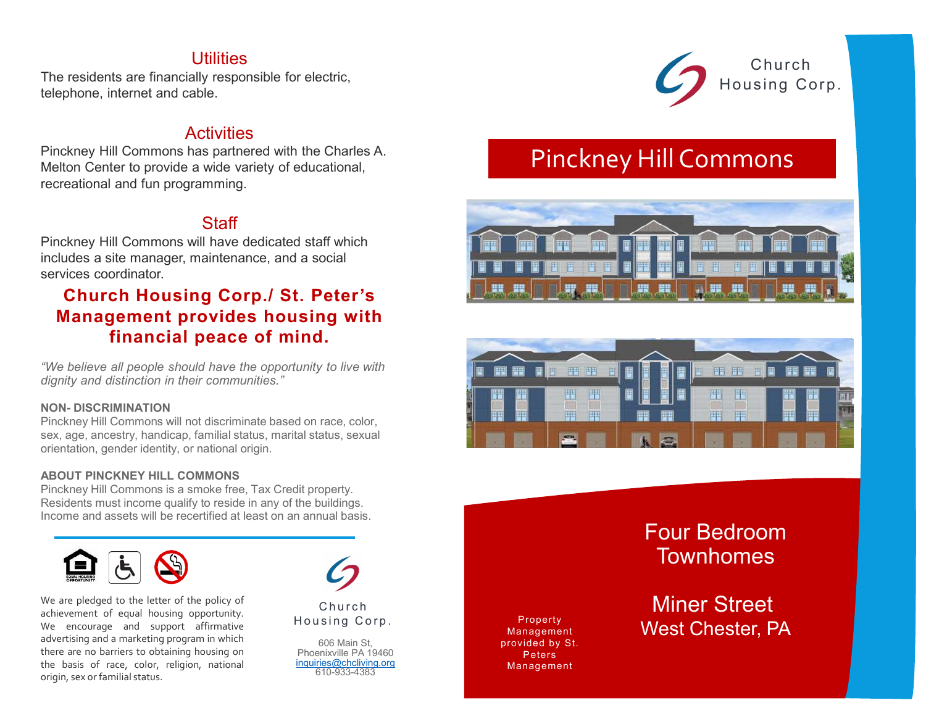## **Utilities**

The residents are financially responsible for electric, telephone, internet and cable.

# **Activities**

Pinckney Hill Commons has partnered with the Charles A. Melton Center to provide a wide variety of educational, recreational and fun programming.

# **Staff**

Pinckney Hill Commons will have dedicated staff which includes a site manager, maintenance, and a social services coordinator.

# Church Housing Corp./ St. Peter's Management provides housing with financial peace of mind. **Activities**<br>
Melton Center to provide a wide variety of educational,<br>
Melton Center to provide a wide variety of educational,<br>
Fercerational and fun programming.<br> **Staff**<br>
Pinckney Hill Commons will have dedicated staff w

"We believe all people should have the opportunity to live with dignity and distinction in their communities."

Pinckney Hill Commons will not discriminate based on race, color, sex, age, ancestry, handicap, familial status, marital status, sexual orientation, gender identity, or national origin.

### ABOUT PINCKNEY HILL COMMONS

Pinckney Hill Commons is a smoke free, Tax Credit property. Residents must income qualify to reside in any of the buildings. Income and assets will be recertified at least on an annual basis.



**Example the state of the control of the opportunity to live with dignity and distinction in their communities."<br>
NON- DISCRIMINATION<br>
Pinckney Hill Communications will not discriminate based on race, color,<br>
sex, age, anc financial peace of mind.**<br>
"We believe all people should have the opportunity to live with<br>
dignity and distinction in their communities."<br>
NON-DISCRIMINATION<br>
PINCKNeY Hill Commons will not discriminate based on race, c "We believe all people should have the opportunity to live with<br>dignity and distinction in their communities."<br>
NON-DISCRIMINATION<br>
Pinckney Hill Commons will not discriminate based on race, color,<br>
sex, age, ancestry, han The property of the state of the property and distinction in their communities."<br>
NOM-DISCRIMINATION<br>
NOM-DISCRIMINATION<br>
SIGNAL COMMONS<br>
SERV, age, ancestry, handically, normational origin.<br>
AROUT PINCKNEY HILL COMMONS<br>
A Frace, color, and color and point of religion, national interest are no basis of race, color, and in the irreligion, and in discriminate based on race, color, religion, and color, principle prices are color, and color, and org.my and channel of in their communities.<br>
NON-DISCRIMINATION<br>
BIOCHIMINATION<br>
BEAR age, ancestry, handicap, familial status, martial status, sexual<br>
orientation, gender identity, or national origin.<br>
ABOUT PINCKNEY HILL



606 Main St, Phoenixville PA 19460 inquiries@chcliving.org 610-933-4383



# Pinckney Hill Commons





Management provided by St. Peters Management

Four Bedroom Townhomes

Miner Street West Chester, PA Property